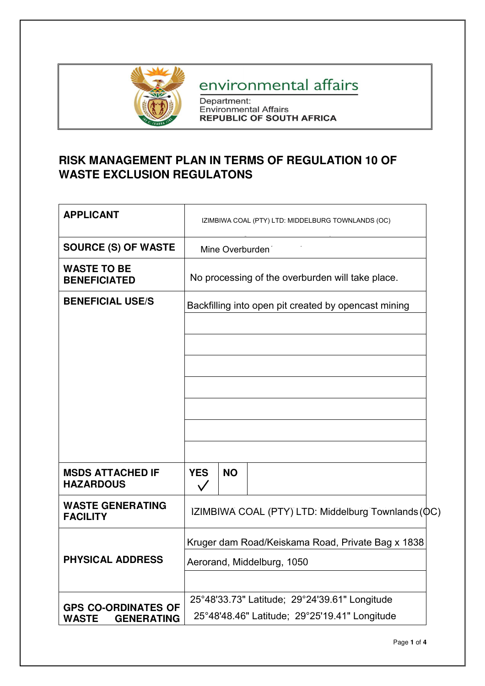

# environmental affairs

Department:<br>Environmental Affairs<br>REPUBLIC OF SOUTH AFRICA

## **RISK MANAGEMENT PLAN IN TERMS OF REGULATION 10 OF WASTE EXCLUSION REGULATONS**

| <b>APPLICANT</b>                                                | IZIMBIWA COAL (PTY) LTD: MIDDELBURG TOWNLANDS (OC)                                             |                                                  |  |  |
|-----------------------------------------------------------------|------------------------------------------------------------------------------------------------|--------------------------------------------------|--|--|
| <b>SOURCE (S) OF WASTE</b>                                      | Mine Overburden                                                                                |                                                  |  |  |
| <b>WASTE TO BE</b><br><b>BENEFICIATED</b>                       |                                                                                                | No processing of the overburden will take place. |  |  |
| <b>BENEFICIAL USE/S</b>                                         | Backfilling into open pit created by opencast mining                                           |                                                  |  |  |
| <b>MSDS ATTACHED IF</b>                                         | <b>YES</b>                                                                                     | <b>NO</b>                                        |  |  |
| <b>HAZARDOUS</b>                                                | $\checkmark$                                                                                   |                                                  |  |  |
| <b>WASTE GENERATING</b><br><b>FACILITY</b>                      | IZIMBIWA COAL (PTY) LTD: Middelburg-Townlands (QC)                                             |                                                  |  |  |
| <b>PHYSICAL ADDRESS</b>                                         | Kruger dam Road/Keiskama Road, Private Bag x 1838<br>Aerorand, Middelburg, 1050                |                                                  |  |  |
| <b>GPS CO-ORDINATES OF</b><br><b>GENERATING</b><br><b>WASTE</b> | 25°48'33.73" Latitude; 29°24'39.61" Longitude<br>25°48'48.46" Latitude; 29°25'19.41" Longitude |                                                  |  |  |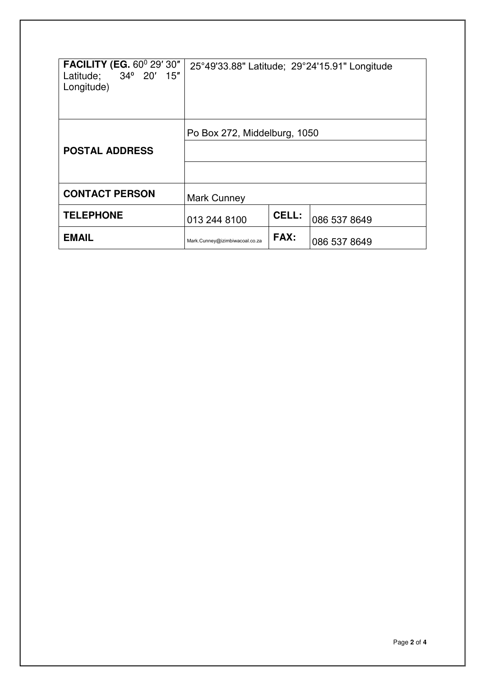| <b>FACILITY (EG. 60° 29' 30"</b><br>Latitude; 34° 20' 15"<br>Longitude) |                                |              | 25°49'33.88" Latitude; 29°24'15.91" Longitude |
|-------------------------------------------------------------------------|--------------------------------|--------------|-----------------------------------------------|
| <b>POSTAL ADDRESS</b>                                                   | Po Box 272, Middelburg, 1050   |              |                                               |
| <b>CONTACT PERSON</b>                                                   | <b>Mark Cunney</b>             |              |                                               |
| <b>TELEPHONE</b>                                                        | 013 244 8100                   | <b>CELL:</b> | 086 537 8649                                  |
| <b>EMAIL</b>                                                            | Mark.Cunney@izimbiwacoal.co.za | FAX:         | 086 537 8649                                  |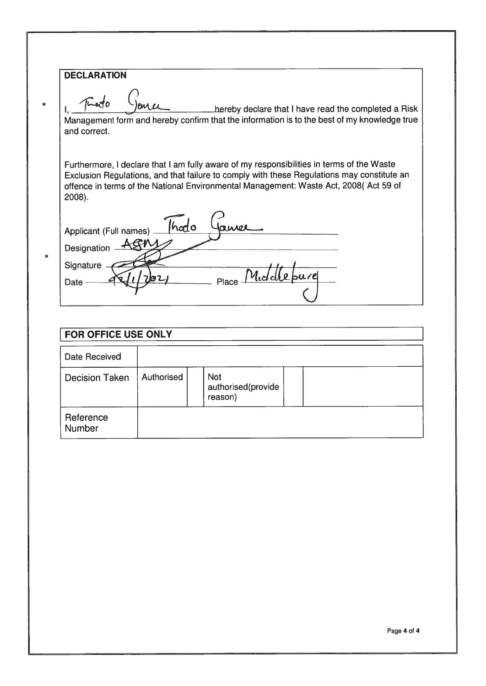## **DECLARATION**

 $\mathbf{x}$ 

 $\boldsymbol{\mathsf{x}}$ 

Thato hereby declare that I have read the completed a Risk eus es Management form and hereby confirm that the information is to the best of my knowledge true and correct.

Furthermore, I declare that I am fully aware of my responsibilities in terms of the Waste Exclusion Regulations, and that failure to comply with these Regulations may constitute an offence in terms of the National Environmental Management: Waste Act, 2008( Act 59 of  $2008$ ).

Thodo LUADE Applicant (Full names) -Designation Agny **Signature** M.L Date -Place

## **FOR OFFICE USE ONLY Date Received Decision Taken** Authorised **Not** authorised(provide reason) Reference Number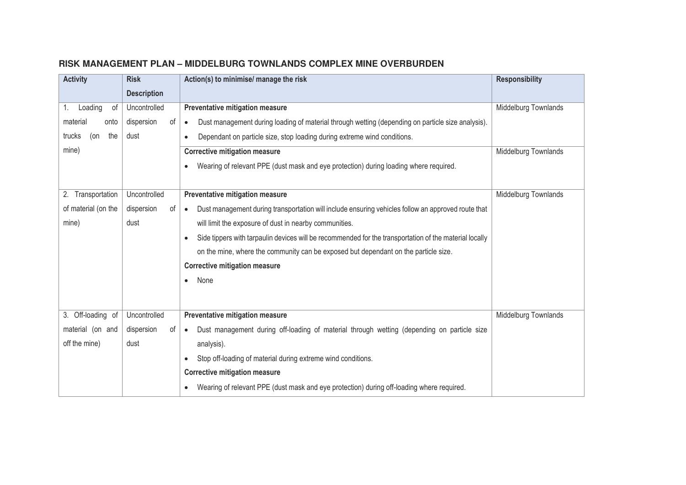| <b>Activity</b>      | <b>Risk</b>        | Action(s) to minimise/ manage the risk                                                                              | <b>Responsibility</b> |
|----------------------|--------------------|---------------------------------------------------------------------------------------------------------------------|-----------------------|
|                      | <b>Description</b> |                                                                                                                     |                       |
| Loading<br>0f<br>1.  | Uncontrolled       | Preventative mitigation measure                                                                                     | Middelburg Townlands  |
| material<br>onto     | dispersion<br>of   | Dust management during loading of material through wetting (depending on particle size analysis).<br>$\bullet$      |                       |
| trucks<br>(on<br>the | dust               | Dependant on particle size, stop loading during extreme wind conditions.                                            |                       |
| mine)                |                    | <b>Corrective mitigation measure</b>                                                                                | Middelburg Townlands  |
|                      |                    | Wearing of relevant PPE (dust mask and eye protection) during loading where required.                               |                       |
|                      |                    |                                                                                                                     |                       |
| 2. Transportation    | Uncontrolled       | Preventative mitigation measure                                                                                     | Middelburg Townlands  |
| of material (on the  | dispersion<br>0f   | Dust management during transportation will include ensuring vehicles follow an approved route that<br>$\bullet$     |                       |
| mine)                | dust               | will limit the exposure of dust in nearby communities.                                                              |                       |
|                      |                    | Side tippers with tarpaulin devices will be recommended for the transportation of the material locally<br>$\bullet$ |                       |
|                      |                    | on the mine, where the community can be exposed but dependant on the particle size.                                 |                       |
|                      |                    | <b>Corrective mitigation measure</b>                                                                                |                       |
|                      |                    | None<br>$\bullet$                                                                                                   |                       |
|                      |                    |                                                                                                                     |                       |
| 3. Off-loading of    | Uncontrolled       | Preventative mitigation measure                                                                                     | Middelburg Townlands  |
| material (on and     | dispersion<br>0f   | Dust management during off-loading of material through wetting (depending on particle size<br>$\bullet$             |                       |
| off the mine)        | dust               | analysis).                                                                                                          |                       |
|                      |                    |                                                                                                                     |                       |
|                      |                    | Stop off-loading of material during extreme wind conditions.                                                        |                       |
|                      |                    | <b>Corrective mitigation measure</b>                                                                                |                       |
|                      |                    | Wearing of relevant PPE (dust mask and eye protection) during off-loading where required.                           |                       |

## **RISK MANAGEMENT PLAN – MIDDELBURG TOWNLANDS COMPLEX MINE OVERBURDEN**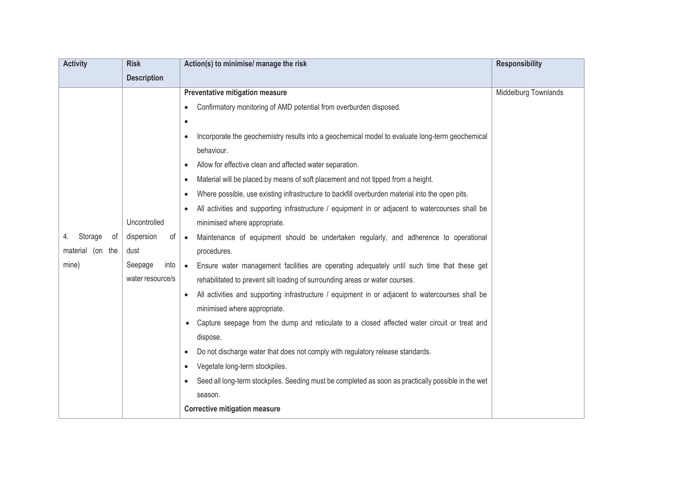| <b>Activity</b>     | <b>Risk</b>        | Action(s) to minimise/ manage the risk                                                                       | <b>Responsibility</b> |
|---------------------|--------------------|--------------------------------------------------------------------------------------------------------------|-----------------------|
|                     | <b>Description</b> |                                                                                                              |                       |
|                     |                    | Preventative mitigation measure                                                                              | Middelburg Townlands  |
|                     |                    | Confirmatory monitoring of AMD potential from overburden disposed.                                           |                       |
|                     |                    | $\bullet$                                                                                                    |                       |
|                     |                    | Incorporate the geochemistry results into a geochemical model to evaluate long-term geochemical              |                       |
|                     |                    | behaviour.                                                                                                   |                       |
|                     |                    | Allow for effective clean and affected water separation.                                                     |                       |
|                     |                    | Material will be placed by means of soft placement and not tipped from a height.<br>٠                        |                       |
|                     |                    | Where possible, use existing infrastructure to backfill overburden material into the open pits.<br>$\bullet$ |                       |
|                     |                    | All activities and supporting infrastructure / equipment in or adjacent to watercourses shall be             |                       |
|                     | Uncontrolled       | minimised where appropriate.                                                                                 |                       |
| Storage<br>of<br>4. | dispersion<br>of   | Maintenance of equipment should be undertaken regularly, and adherence to operational<br>$\bullet$           |                       |
| material (on the    | dust               | procedures.                                                                                                  |                       |
| mine)               | into<br>Seepage    | Ensure water management facilities are operating adequately until such time that these get<br>$\bullet$      |                       |
|                     | water resource/s   | rehabilitated to prevent silt loading of surrounding areas or water courses.                                 |                       |
|                     |                    | All activities and supporting infrastructure / equipment in or adjacent to watercourses shall be             |                       |
|                     |                    | minimised where appropriate.                                                                                 |                       |
|                     |                    | Capture seepage from the dump and reticulate to a closed affected water circuit or treat and                 |                       |
|                     |                    | dispose.                                                                                                     |                       |
|                     |                    | Do not discharge water that does not comply with regulatory release standards.                               |                       |
|                     |                    | Vegetate long-term stockpiles.                                                                               |                       |
|                     |                    | Seed all long-term stockpiles. Seeding must be completed as soon as practically possible in the wet          |                       |
|                     |                    | season.                                                                                                      |                       |
|                     |                    | <b>Corrective mitigation measure</b>                                                                         |                       |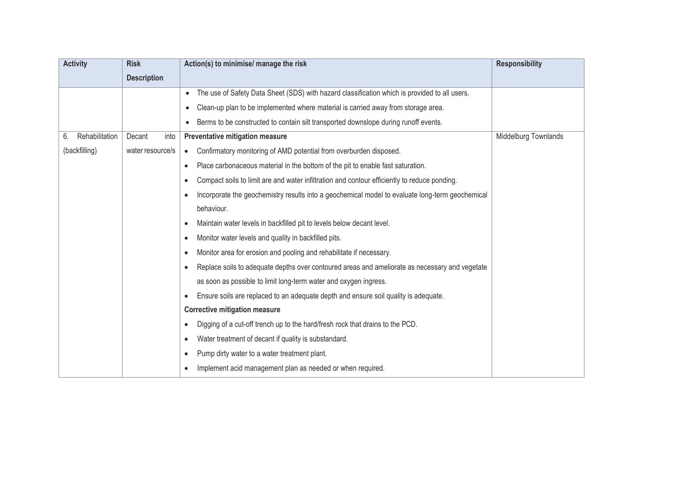| <b>Activity</b>      | <b>Risk</b>        | Action(s) to minimise/ manage the risk                                                                     | <b>Responsibility</b> |
|----------------------|--------------------|------------------------------------------------------------------------------------------------------------|-----------------------|
|                      | <b>Description</b> |                                                                                                            |                       |
|                      |                    | The use of Safety Data Sheet (SDS) with hazard classification which is provided to all users.<br>$\bullet$ |                       |
|                      |                    | Clean-up plan to be implemented where material is carried away from storage area.                          |                       |
|                      |                    | Berms to be constructed to contain silt transported downslope during runoff events.                        |                       |
| Rehabilitation<br>6. | Decant<br>into     | Preventative mitigation measure                                                                            | Middelburg Townlands  |
| (backfilling)        | water resource/s   | Confirmatory monitoring of AMD potential from overburden disposed.<br>$\bullet$                            |                       |
|                      |                    | Place carbonaceous material in the bottom of the pit to enable fast saturation.<br>$\bullet$               |                       |
|                      |                    | Compact soils to limit are and water infiltration and contour efficiently to reduce ponding.<br>$\bullet$  |                       |
|                      |                    | Incorporate the geochemistry results into a geochemical model to evaluate long-term geochemical<br>٠       |                       |
|                      |                    | behaviour.                                                                                                 |                       |
|                      |                    | Maintain water levels in backfilled pit to levels below decant level.<br>$\bullet$                         |                       |
|                      |                    | Monitor water levels and quality in backfilled pits.<br>$\bullet$                                          |                       |
|                      |                    | Monitor area for erosion and pooling and rehabilitate if necessary.<br>$\bullet$                           |                       |
|                      |                    | Replace soils to adequate depths over contoured areas and ameliorate as necessary and vegetate             |                       |
|                      |                    | as soon as possible to limit long-term water and oxygen ingress.                                           |                       |
|                      |                    | Ensure soils are replaced to an adequate depth and ensure soil quality is adequate.                        |                       |
|                      |                    | <b>Corrective mitigation measure</b>                                                                       |                       |
|                      |                    | Digging of a cut-off trench up to the hard/fresh rock that drains to the PCD.                              |                       |
|                      |                    | Water treatment of decant if quality is substandard.<br>$\bullet$                                          |                       |
|                      |                    | Pump dirty water to a water treatment plant.<br>$\bullet$                                                  |                       |
|                      |                    | Implement acid management plan as needed or when required.                                                 |                       |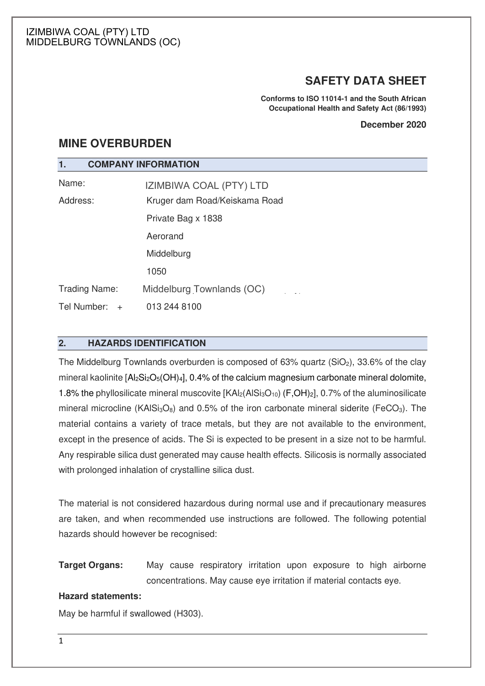## **SAFETY DATA SHEET**

**Conforms to ISO 11014-1 and the South African Occupational Health and Safety Act (86/1993)**

#### **December 2020**

## **MINE OVERBURDEN**

## **1. COMPANY INFORMATION**

| Name:              | <b>IZIMBIWA COAL (PTY) LTD</b> |
|--------------------|--------------------------------|
| Address:           | Kruger dam Road/Keiskama Road  |
|                    | Private Bag x 1838             |
|                    | Aerorand                       |
|                    | Middelburg                     |
|                    | 1050                           |
| Trading Name:      | Middelburg Townlands (OC)      |
| Tel Number:<br>$+$ | 013 244 8100                   |

## **2. HAZARDS IDENTIFICATION**

The Middelburg Townlands overburden is composed of  $63\%$  quartz  $(SiO<sub>2</sub>)$ ,  $33.6\%$  of the clay mineral kaolinite  $[A_2Si_2O_5(OH)_4]$ , 0.4% of the calcium magnesium carbonate mineral dolomite, 1.8% the phyllosilicate mineral muscovite  $[KAl_2(AlSi_3O_{10}) (F,OH)_2]$ , 0.7% of the aluminosilicate mineral microcline (KAISi $_3$ O<sub>8</sub>) and 0.5% of the iron carbonate mineral siderite (FeCO<sub>3</sub>). The material contains a variety of trace metals, but they are not available to the environment, except in the presence of acids. The Si is expected to be present in a size not to be harmful. Any respirable silica dust generated may cause health effects. Silicosis is normally associated with prolonged inhalation of crystalline silica dust.

The material is not considered hazardous during normal use and if precautionary measures are taken, and when recommended use instructions are followed. The following potential hazards should however be recognised:

**Target Organs:** May cause respiratory irritation upon exposure to high airborne concentrations. May cause eye irritation if material contacts eye.

## **Hazard statements:**

May be harmful if swallowed (H303).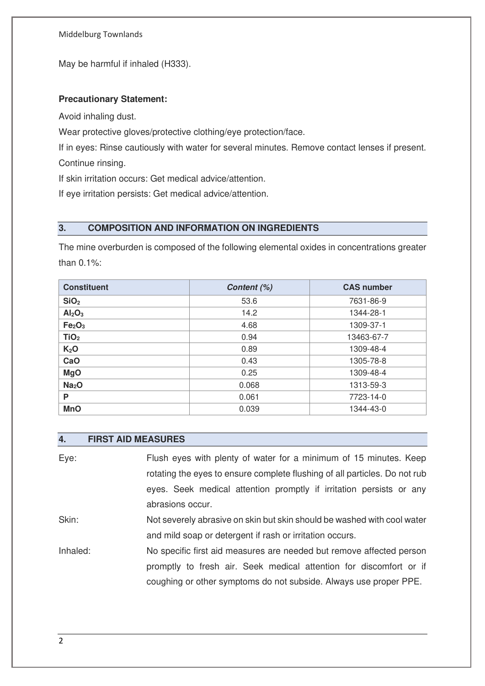May be harmful if inhaled (H333).

## **Precautionary Statement:**

Avoid inhaling dust.

Wear protective gloves/protective clothing/eye protection/face.

If in eyes: Rinse cautiously with water for several minutes. Remove contact lenses if present. Continue rinsing.

If skin irritation occurs: Get medical advice/attention.

If eye irritation persists: Get medical advice/attention.

## **3. COMPOSITION AND INFORMATION ON INGREDIENTS**

The mine overburden is composed of the following elemental oxides in concentrations greater than 0.1%:

| <b>Constituent</b>             | Content (%) | <b>CAS number</b> |
|--------------------------------|-------------|-------------------|
| SiO <sub>2</sub>               | 53.6        | 7631-86-9         |
| Al <sub>2</sub> O <sub>3</sub> | 14.2        | 1344-28-1         |
| Fe <sub>2</sub> O <sub>3</sub> | 4.68        | 1309-37-1         |
| TiO <sub>2</sub>               | 0.94        | 13463-67-7        |
| K <sub>2</sub> O               | 0.89        | 1309-48-4         |
| CaO                            | 0.43        | 1305-78-8         |
| <b>MgO</b>                     | 0.25        | 1309-48-4         |
| Na <sub>2</sub> O              | 0.068       | 1313-59-3         |
| P                              | 0.061       | 7723-14-0         |
| <b>MnO</b>                     | 0.039       | 1344-43-0         |

### **4. FIRST AID MEASURES**

Eye: Flush eyes with plenty of water for a minimum of 15 minutes. Keep rotating the eyes to ensure complete flushing of all particles. Do not rub eyes. Seek medical attention promptly if irritation persists or any abrasions occur. Skin: Not severely abrasive on skin but skin should be washed with cool water and mild soap or detergent if rash or irritation occurs. Inhaled: No specific first aid measures are needed but remove affected person promptly to fresh air. Seek medical attention for discomfort or if

coughing or other symptoms do not subside. Always use proper PPE.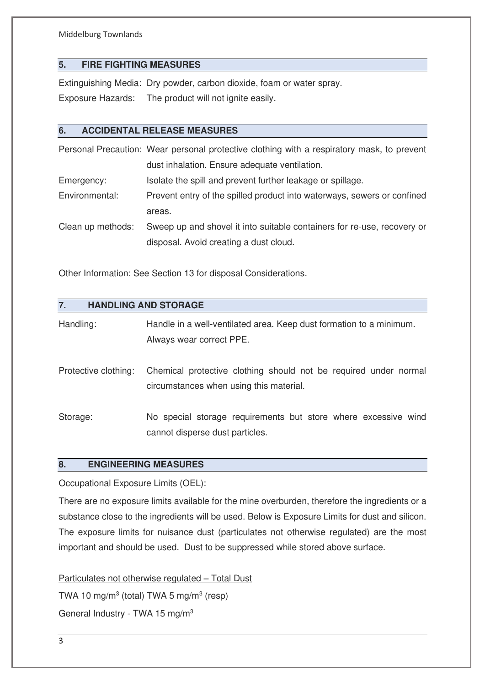## **5. FIRE FIGHTING MEASURES**

Extinguishing Media: Dry powder, carbon dioxide, foam or water spray. Exposure Hazards: The product will not ignite easily.

## **6. ACCIDENTAL RELEASE MEASURES**

Personal Precaution: Wear personal protective clothing with a respiratory mask, to prevent dust inhalation. Ensure adequate ventilation. Emergency: Isolate the spill and prevent further leakage or spillage. Environmental: Prevent entry of the spilled product into waterways, sewers or confined areas. Clean up methods: Sweep up and shovel it into suitable containers for re-use, recovery or disposal. Avoid creating a dust cloud.

Other Information: See Section 13 for disposal Considerations.

| 7.                   | <b>HANDLING AND STORAGE</b>                                                                                 |
|----------------------|-------------------------------------------------------------------------------------------------------------|
| Handling:            | Handle in a well-ventilated area. Keep dust formation to a minimum.<br>Always wear correct PPE.             |
| Protective clothing: | Chemical protective clothing should not be required under normal<br>circumstances when using this material. |
| Storage:             | No special storage requirements but store where excessive wind<br>cannot disperse dust particles.           |

## **8. ENGINEERING MEASURES**

Occupational Exposure Limits (OEL):

There are no exposure limits available for the mine overburden, therefore the ingredients or a substance close to the ingredients will be used. Below is Exposure Limits for dust and silicon. The exposure limits for nuisance dust (particulates not otherwise regulated) are the most important and should be used. Dust to be suppressed while stored above surface.

Particulates not otherwise regulated – Total Dust TWA 10 mg/m<sup>3</sup> (total) TWA 5 mg/m<sup>3</sup> (resp) General Industry - TWA 15 mg/m3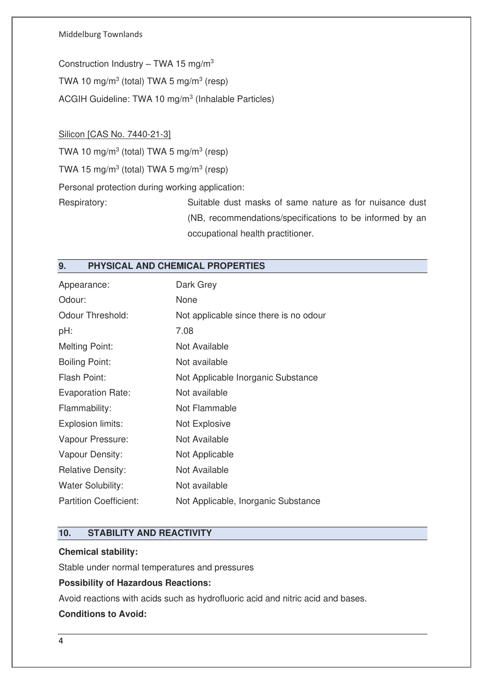Construction Industry – TWA 15 mg/m<sup>3</sup> TWA 10 mg/m<sup>3</sup> (total) TWA 5 mg/m<sup>3</sup> (resp) ACGIH Guideline: TWA 10 mg/m<sup>3</sup> (Inhalable Particles)

## Silicon [CAS No. 7440-21-3]

TWA 10 mg/m<sup>3</sup> (total) TWA 5 mg/m<sup>3</sup> (resp) TWA 15 mg/m<sup>3</sup> (total) TWA 5 mg/m<sup>3</sup> (resp) Personal protection during working application:

Respiratory: Suitable dust masks of same nature as for nuisance dust (NB, recommendations/specifications to be informed by an occupational health practitioner.

## **9. PHYSICAL AND CHEMICAL PROPERTIES**

| Appearance:                   | Dark Grey                              |
|-------------------------------|----------------------------------------|
| Odour:                        | None                                   |
| <b>Odour Threshold:</b>       | Not applicable since there is no odour |
| pH:                           | 7.08                                   |
| <b>Melting Point:</b>         | Not Available                          |
| <b>Boiling Point:</b>         | Not available                          |
| Flash Point:                  | Not Applicable Inorganic Substance     |
| <b>Evaporation Rate:</b>      | Not available                          |
| Flammability:                 | Not Flammable                          |
| Explosion limits:             | Not Explosive                          |
| Vapour Pressure:              | Not Available                          |
| Vapour Density:               | Not Applicable                         |
| <b>Relative Density:</b>      | Not Available                          |
| Water Solubility:             | Not available                          |
| <b>Partition Coefficient:</b> | Not Applicable, Inorganic Substance    |

## **10. STABILITY AND REACTIVITY**

## **Chemical stability:**

Stable under normal temperatures and pressures

#### **Possibility of Hazardous Reactions:**

Avoid reactions with acids such as hydrofluoric acid and nitric acid and bases.

## **Conditions to Avoid:**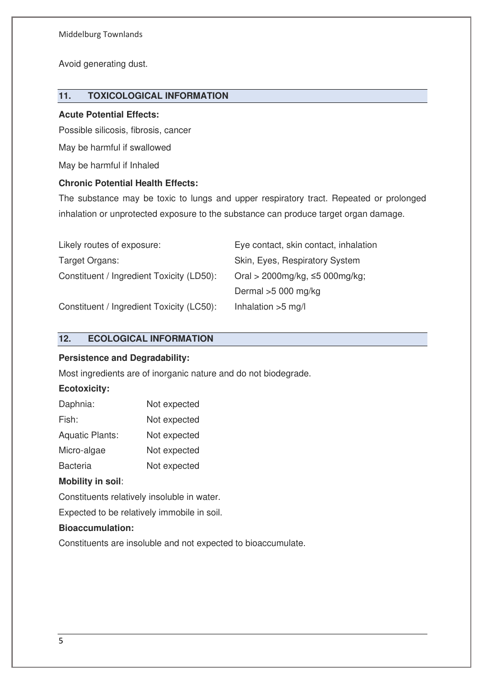Avoid generating dust.

## **11. TOXICOLOGICAL INFORMATION**

### **Acute Potential Effects:**

Possible silicosis, fibrosis, cancer

May be harmful if swallowed

May be harmful if Inhaled

## **Chronic Potential Health Effects:**

The substance may be toxic to lungs and upper respiratory tract. Repeated or prolonged inhalation or unprotected exposure to the substance can produce target organ damage.

| Likely routes of exposure:                | Eye contact, skin contact, inhalation   |
|-------------------------------------------|-----------------------------------------|
| Target Organs:                            | Skin, Eyes, Respiratory System          |
| Constituent / Ingredient Toxicity (LD50): | Oral > $2000$ mg/kg, $\leq 5000$ mg/kg; |
|                                           | Dermal $>5000$ mg/kg                    |
| Constituent / Ingredient Toxicity (LC50): | Inhalation $>5$ mg/l                    |

## **12. ECOLOGICAL INFORMATION**

## **Persistence and Degradability:**

Most ingredients are of inorganic nature and do not biodegrade.

## **Ecotoxicity:**

| Daphnia:               | Not expected |
|------------------------|--------------|
| Fish:                  | Not expected |
| <b>Aquatic Plants:</b> | Not expected |
| Micro-algae            | Not expected |
| <b>Bacteria</b>        | Not expected |

## **Mobility in soil**:

Constituents relatively insoluble in water.

Expected to be relatively immobile in soil.

#### **Bioaccumulation:**

Constituents are insoluble and not expected to bioaccumulate.